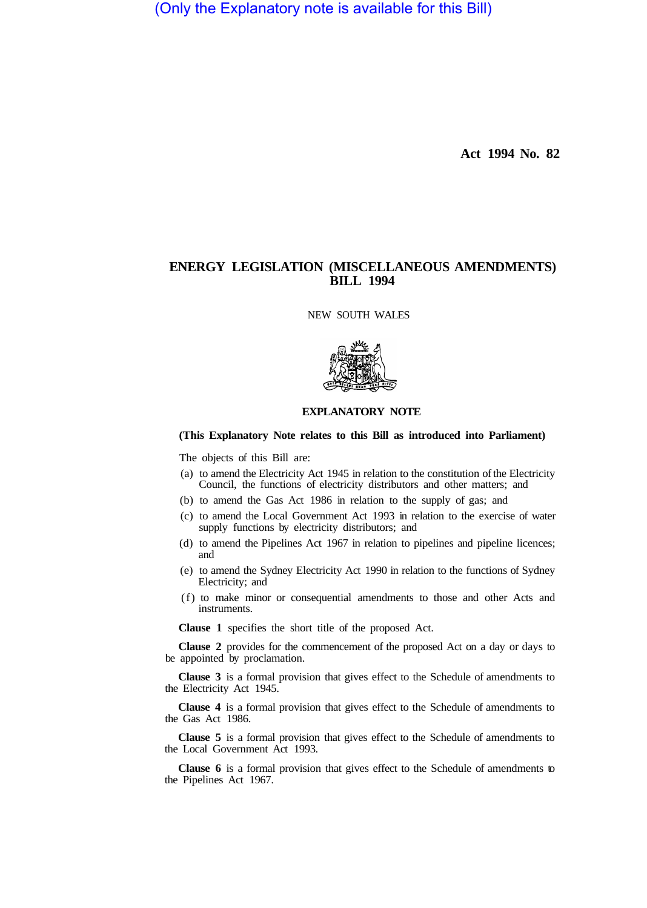(Only the Explanatory note is available for this Bill)

**Act 1994 No. 82** 

# **ENERGY LEGISLATION (MISCELLANEOUS AMENDMENTS) BILL 1994**

NEW SOUTH WALES



## **EXPLANATORY NOTE**

### **(This Explanatory Note relates to this Bill as introduced into Parliament)**

The objects of this Bill are:

- (a) to amend the Electricity Act 1945 in relation to the constitution of the Electricity Council, the functions of electricity distributors and other matters; and
- (b) to amend the Gas Act 1986 in relation to the supply of gas; and
- (c) to amend the Local Government Act 1993 in relation to the exercise of water supply functions by electricity distributors; and
- (d) to amend the Pipelines Act 1967 in relation to pipelines and pipeline licences; and
- (e) to amend the Sydney Electricity Act 1990 in relation to the functions of Sydney Electricity; and
- (f) to make minor or consequential amendments to those and other Acts and instruments.

**Clause 1** specifies the short title of the proposed Act.

**Clause 2** provides for the commencement of the proposed Act on a day or days to be appointed by proclamation.

**Clause 3** is a formal provision that gives effect to the Schedule of amendments to the Electricity Act 1945.

**Clause 4** is a formal provision that gives effect to the Schedule of amendments to the Gas Act 1986.

**Clause 5** is a formal provision that gives effect to the Schedule of amendments to the Local Government Act 1993.

**Clause 6** is a formal provision that gives effect to the Schedule of amendments to the Pipelines Act 1967.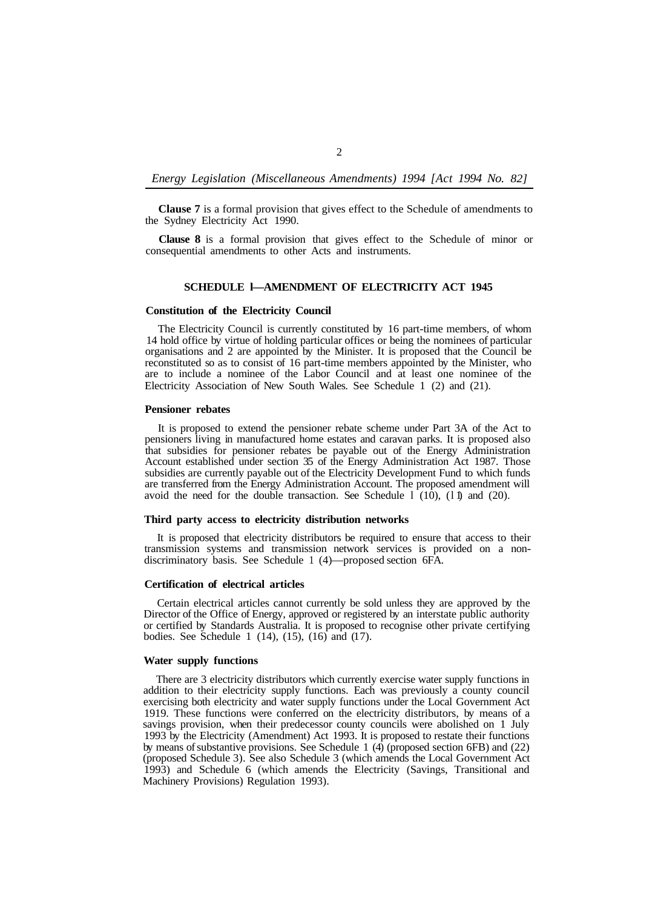### *Energy Legislation (Miscellaneous Amendments) 1994 [Act 1994 No. 82]*

**Clause 7** is a formal provision that gives effect to the Schedule of amendments to the Sydney Electricity Act 1990.

**Clause 8** is a formal provision that gives effect to the Schedule of minor or consequential amendments to other Acts and instruments.

### **SCHEDULE l—AMENDMENT OF ELECTRICITY ACT 1945**

# **Constitution of the Electricity Council**

The Electricity Council is currently constituted by 16 part-time members, of whom 14 hold office by virtue of holding particular offices or being the nominees of particular organisations and 2 are appointed by the Minister. It is proposed that the Council be reconstituted so as to consist of 16 part-time members appointed by the Minister, who are to include a nominee of the Labor Council and at least one nominee of the Electricity Association of New South Wales. See Schedule 1 (2) and (21).

#### **Pensioner rebates**

It is proposed to extend the pensioner rebate scheme under Part 3A of the Act to pensioners living in manufactured home estates and caravan parks. It is proposed also that subsidies for pensioner rebates be payable out of the Energy Administration Account established under section 35 of the Energy Administration Act 1987. Those subsidies are currently payable out of the Electricity Development Fund to which funds are transferred from the Energy Administration Account. The proposed amendment will avoid the need for the double transaction. See Schedule 1  $(10)$ ,  $(11)$  and  $(20)$ .

#### **Third party access to electricity distribution networks**

It is proposed that electricity distributors be required to ensure that access to their transmission systems and transmission network services is provided on a nondiscriminatory basis. See Schedule 1 (4)—proposed section 6FA.

#### **Certification of electrical articles**

Certain electrical articles cannot currently be sold unless they are approved by the Director of the Office of Energy, approved or registered by an interstate public authority or certified by Standards Australia. It is proposed to recognise other private certifying bodies. See Schedule 1  $(14)$ ,  $(15)$ ,  $(16)$  and  $(17)$ .

### **Water supply functions**

There are 3 electricity distributors which currently exercise water supply functions in addition to their electricity supply functions. Each was previously a county council exercising both electricity and water supply functions under the Local Government Act 1919. These functions were conferred on the electricity distributors, by means of a savings provision, when their predecessor county councils were abolished on 1 July 1993 by the Electricity (Amendment) Act 1993. It is proposed to restate their functions by means of substantive provisions. See Schedule 1 (4) (proposed section 6FB) and (22) (proposed Schedule 3). See also Schedule 3 (which amends the Local Government Act 1993) and Schedule 6 (which amends the Electricity (Savings, Transitional and Machinery Provisions) Regulation 1993).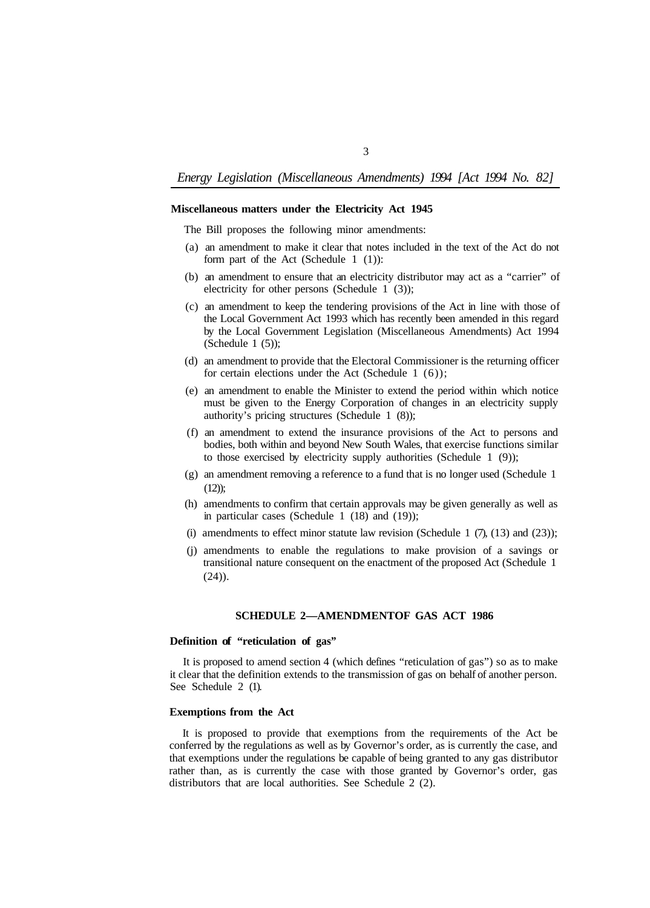## *Energy Legislation (Miscellaneous Amendments) 1994 [Act 1994 No. 82]*

## **Miscellaneous matters under the Electricity Act 1945**

The Bill proposes the following minor amendments:

- (a) an amendment to make it clear that notes included in the text of the Act do not form part of the Act (Schedule 1 (1)):
- (b) an amendment to ensure that an electricity distributor may act as a "carrier" of electricity for other persons (Schedule 1 (3));
- (c) an amendment to keep the tendering provisions of the Act in line with those of the Local Government Act 1993 which has recently been amended in this regard by the Local Government Legislation (Miscellaneous Amendments) Act 1994 (Schedule  $1(5)$ );
- (d) an amendment to provide that the Electoral Commissioner is the returning officer for certain elections under the Act (Schedule  $1(6)$ );
- (e) an amendment to enable the Minister to extend the period within which notice must be given to the Energy Corporation of changes in an electricity supply authority's pricing structures (Schedule 1 (8));
- (f) an amendment to extend the insurance provisions of the Act to persons and bodies, both within and beyond New South Wales, that exercise functions similar to those exercised by electricity supply authorities (Schedule 1 (9));
- $(12)$ : (g) an amendment removing a reference to a fund that is no longer used (Schedule 1
- in particular cases (Schedule 1 (18) and (19)); (h) amendments to confirm that certain approvals may be given generally as well as
- (i) amendments to effect minor statute law revision (Schedule  $1$   $(7)$ ,  $(13)$  and  $(23)$ );
- (j) amendments to enable the regulations to make provision of a savings or transitional nature consequent on the enactment of the proposed Act (Schedule 1 (24)).

# **SCHEDULE 2-AMENDMENTOF GAS ACT 1986**

# **Definition of "reticulation of gas"**

It is proposed to amend section 4 (which defines "reticulation of gas") so as to make it clear that the definition extends to the transmission of gas on behalf of another person. See Schedule 2 (1).

### **Exemptions from the Act**

It is proposed to provide that exemptions from the requirements of the Act be conferred by the regulations as well as by Governor's order, as is currently the case, and that exemptions under the regulations be capable of being granted to any gas distributor rather than, as is currently the case with those granted by Governor's order, gas distributors that are local authorities. See Schedule 2 (2).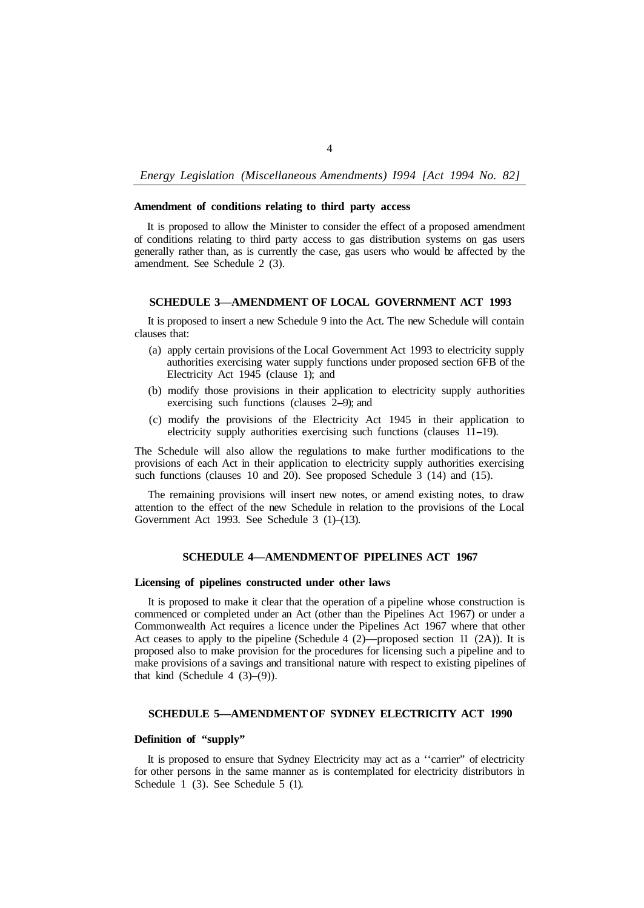# *Energy Legislation (Miscellaneous Amendments) I994 [Act 1994 No. 82]*

## **Amendment of conditions relating to third party access**

It is proposed to allow the Minister to consider the effect of a proposed amendment of conditions relating to third party access to gas distribution systems on gas users generally rather than, as is currently the case, gas users who would be affected by the amendment. See Schedule 2 (3).

# **SCHEDULE 3—AMENDMENT OF LOCAL GOVERNMENT ACT 1993**

It is proposed to insert a new Schedule 9 into the Act. The new Schedule will contain clauses that:

- (a) apply certain provisions of the Local Government Act 1993 to electricity supply authorities exercising water supply functions under proposed section 6FB of the Electricity Act 1945 (clause 1); and
- (b) modify those provisions in their application to electricity supply authorities exercising such functions (clauses 2–9); and
- (c) modify the provisions of the Electricity Act 1945 in their application to electricity supply authorities exercising such functions (clauses 11-19).

The Schedule will also allow the regulations to make further modifications to the provisions of each Act in their application to electricity supply authorities exercising such functions (clauses 10 and 20). See proposed Schedule 3 (14) and (15).

The remaining provisions will insert new notes, or amend existing notes, to draw attention to the effect of the new Schedule in relation to the provisions of the Local Government Act 1993. See Schedule 3 (1)–(13).

### **SCHEDULE 4—AMENDMENT OF PIPELINES ACT 1967**

#### **Licensing of pipelines constructed under other laws**

It is proposed to make it clear that the operation of a pipeline whose construction is commenced or completed under an Act (other than the Pipelines Act 1967) or under a Commonwealth Act requires a licence under the Pipelines Act 1967 where that other Act ceases to apply to the pipeline (Schedule 4 (2)—proposed section 11 (2A)). It is proposed also to make provision for the procedures for licensing such a pipeline and to make provisions of a savings and transitional nature with respect to existing pipelines of that kind (Schedule 4  $(3)-(9)$ ).

#### **SCHEDULE 5—AMENDMENT OF SYDNEY ELECTRICITY ACT 1990**

# **Definition of "supply"**

It is proposed to ensure that Sydney Electricity may act as a ''carrier" of electricity for other persons in the same manner as is contemplated for electricity distributors in Schedule 1 (3). See Schedule 5 (1).